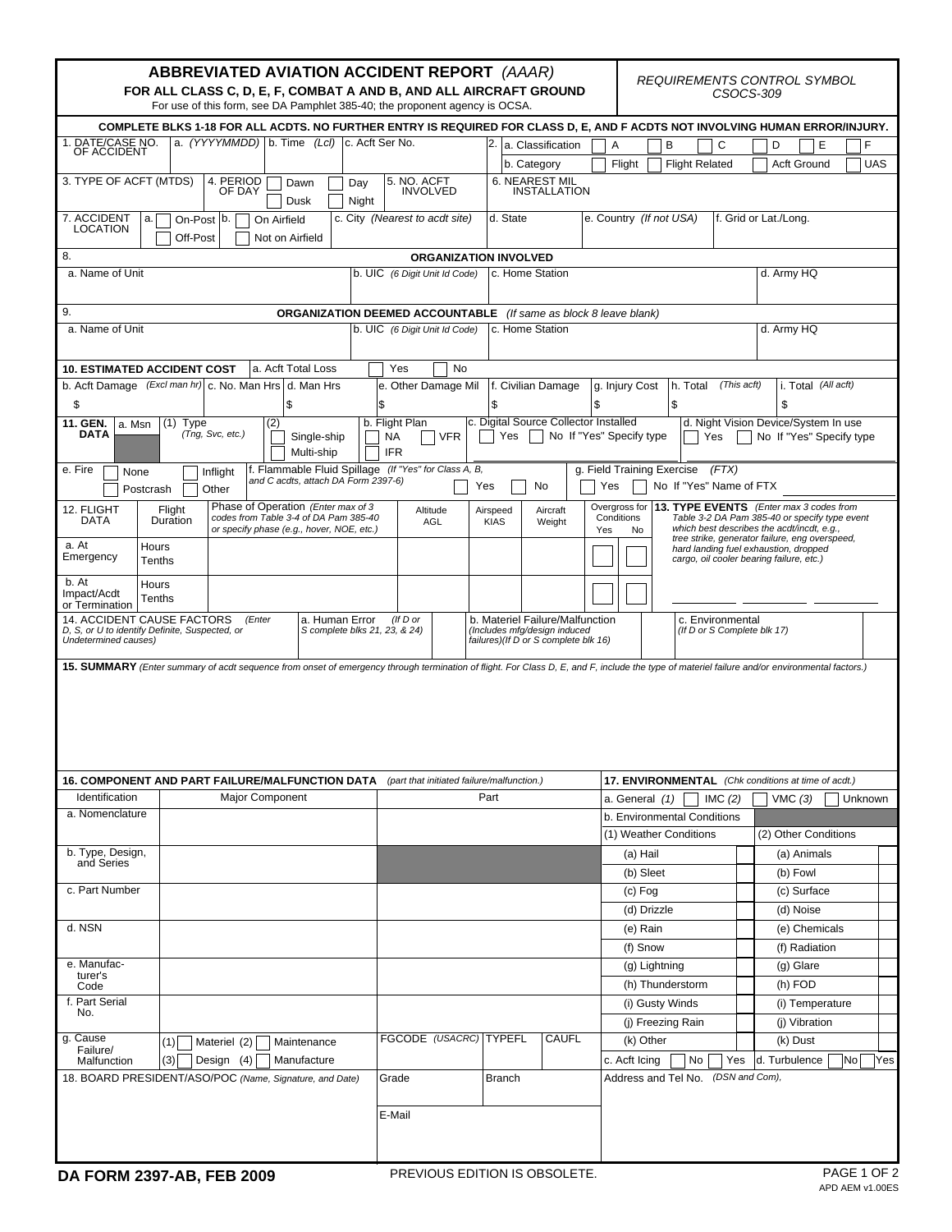|                                                                                                                                                                                                                                                     | <b>ABBREVIATED AVIATION ACCIDENT REPORT (AAAR)</b><br>FOR ALL CLASS C, D, E, F, COMBAT A AND B, AND ALL AIRCRAFT GROUND<br>For use of this form, see DA Pamphlet 385-40; the proponent agency is OCSA. |                                                                         | REQUIREMENTS CONTROL SYMBOL<br>CSOCS-309 |                                                                       |                                                                                |                                                 |                                                                                                                                     |                                                     |                                                                                                                                        |                        |                            |             |  |
|-----------------------------------------------------------------------------------------------------------------------------------------------------------------------------------------------------------------------------------------------------|--------------------------------------------------------------------------------------------------------------------------------------------------------------------------------------------------------|-------------------------------------------------------------------------|------------------------------------------|-----------------------------------------------------------------------|--------------------------------------------------------------------------------|-------------------------------------------------|-------------------------------------------------------------------------------------------------------------------------------------|-----------------------------------------------------|----------------------------------------------------------------------------------------------------------------------------------------|------------------------|----------------------------|-------------|--|
| COMPLETE BLKS 1-18 FOR ALL ACDTS. NO FURTHER ENTRY IS REQUIRED FOR CLASS D, E, AND F ACDTS NOT INVOLVING HUMAN ERROR/INJURY.                                                                                                                        |                                                                                                                                                                                                        |                                                                         |                                          |                                                                       |                                                                                |                                                 |                                                                                                                                     |                                                     |                                                                                                                                        |                        |                            |             |  |
| a. (YYYYMMDD) b. Time (Lcl) c. Acft Ser No.<br>1. DATE/CASE NO.<br>2. a. Classification<br>$\overline{A}$<br>B<br>С<br>D<br>Е<br>OF ACCIDENT                                                                                                        |                                                                                                                                                                                                        |                                                                         |                                          |                                                                       |                                                                                |                                                 |                                                                                                                                     |                                                     |                                                                                                                                        |                        | F                          |             |  |
|                                                                                                                                                                                                                                                     |                                                                                                                                                                                                        |                                                                         |                                          |                                                                       | b. Category                                                                    |                                                 | Flight                                                                                                                              | <b>Flight Related</b>                               |                                                                                                                                        | <b>Acft Ground</b>     | <b>UAS</b>                 |             |  |
| 3. TYPE OF ACFT (MTDS)                                                                                                                                                                                                                              | 4. PERIOD<br>OF DAY                                                                                                                                                                                    | Dawn<br>Day<br>Dusk<br>Night                                            | 5. NO. ACFT<br><b>INVOLVED</b>           |                                                                       |                                                                                | 6. NEAREST MIL<br><b>INSTALLATION</b>           |                                                                                                                                     |                                                     |                                                                                                                                        |                        |                            |             |  |
| 7. ACCIDENT<br><b>LOCATION</b>                                                                                                                                                                                                                      | On-Post b.<br>a.<br>On Airfield<br>Off-Post<br>Not on Airfield                                                                                                                                         |                                                                         |                                          | d. State<br>e. Country (If not USA)<br>c. City (Nearest to acdt site) |                                                                                |                                                 |                                                                                                                                     |                                                     |                                                                                                                                        |                        | f. Grid or Lat./Long.      |             |  |
| 8.<br><b>ORGANIZATION INVOLVED</b>                                                                                                                                                                                                                  |                                                                                                                                                                                                        |                                                                         |                                          |                                                                       |                                                                                |                                                 |                                                                                                                                     |                                                     |                                                                                                                                        |                        |                            |             |  |
| a. Name of Unit                                                                                                                                                                                                                                     |                                                                                                                                                                                                        |                                                                         |                                          | b. UIC (6 Digit Unit Id Code)<br>c. Home Station                      |                                                                                |                                                 |                                                                                                                                     |                                                     |                                                                                                                                        |                        | d. Army HQ                 |             |  |
| 9.                                                                                                                                                                                                                                                  |                                                                                                                                                                                                        | <b>ORGANIZATION DEEMED ACCOUNTABLE</b> (If same as block 8 leave blank) |                                          |                                                                       |                                                                                |                                                 |                                                                                                                                     |                                                     |                                                                                                                                        |                        |                            |             |  |
| a. Name of Unit                                                                                                                                                                                                                                     |                                                                                                                                                                                                        | b. UIC (6 Digit Unit Id Code)<br>c. Home Station                        |                                          |                                                                       |                                                                                |                                                 |                                                                                                                                     |                                                     |                                                                                                                                        | d. Army HQ             |                            |             |  |
| a. Acft Total Loss<br><b>10. ESTIMATED ACCIDENT COST</b><br>Yes<br><b>No</b>                                                                                                                                                                        |                                                                                                                                                                                                        |                                                                         |                                          |                                                                       |                                                                                |                                                 |                                                                                                                                     |                                                     |                                                                                                                                        |                        |                            |             |  |
|                                                                                                                                                                                                                                                     | b. Acft Damage (Excl man hr) c. No. Man Hrs d. Man Hrs                                                                                                                                                 |                                                                         | e. Other Damage Mil                      |                                                                       |                                                                                | f. Civilian Damage                              |                                                                                                                                     | g. Injury Cost                                      | h. Total                                                                                                                               | (This acft)            | i. Total (All acft)        |             |  |
| \$                                                                                                                                                                                                                                                  | \$                                                                                                                                                                                                     |                                                                         | \$                                       |                                                                       | \$                                                                             |                                                 | \$                                                                                                                                  |                                                     | l\$                                                                                                                                    |                        | \$                         |             |  |
| c. Digital Source Collector Installed<br>b. Flight Plan<br>d. Night Vision Device/System In use<br>11. GEN.<br>$(1)$ Type<br>(2)<br>a. Msn<br>(Tng, Svc, etc.)<br>DATA<br><b>VFR</b><br>Yes<br>No If "Yes" Specify type<br>Single-ship<br>NA<br>Yes |                                                                                                                                                                                                        |                                                                         |                                          |                                                                       |                                                                                |                                                 |                                                                                                                                     | No If "Yes" Specify type                            |                                                                                                                                        |                        |                            |             |  |
| e. Fire<br>None                                                                                                                                                                                                                                     | Inflight                                                                                                                                                                                               | Multi-ship<br>f. Flammable Fluid Spillage (If "Yes" for Class A, B,     | <b>IFR</b>                               |                                                                       |                                                                                |                                                 |                                                                                                                                     |                                                     | g. Field Training Exercise                                                                                                             | (FTX)                  |                            |             |  |
| Postcrash                                                                                                                                                                                                                                           | Other                                                                                                                                                                                                  | and C acdts, attach DA Form 2397-6)                                     |                                          |                                                                       | Yes                                                                            | No                                              | Yes                                                                                                                                 |                                                     | No If "Yes" Name of FTX                                                                                                                |                        |                            |             |  |
| 12. FLIGHT<br><b>DATA</b>                                                                                                                                                                                                                           | Phase of Operation (Enter max of 3<br>Aircraft<br>Altitude<br>Airspeed<br>codes from Table 3-4 of DA Pam 385-40<br>AGL<br><b>KIAS</b><br>Weight<br>or specify phase (e.g., hover, NOE, etc.)           |                                                                         |                                          |                                                                       | Yes                                                                            | Overgross for<br>Conditions<br>No               |                                                                                                                                     |                                                     | 13. TYPE EVENTS (Enter max 3 codes from<br>Table 3-2 DA Pam 385-40 or specify type event<br>which best describes the acdt/incdt, e.g., |                        |                            |             |  |
| a. At<br>Emergency                                                                                                                                                                                                                                  | Hours<br>Tenths                                                                                                                                                                                        |                                                                         |                                          |                                                                       |                                                                                |                                                 | tree strike, generator failure, eng overspeed,<br>hard landing fuel exhaustion, dropped<br>cargo, oil cooler bearing failure, etc.) |                                                     |                                                                                                                                        |                        |                            |             |  |
| b. At<br>Impact/Acdt<br>or Termination                                                                                                                                                                                                              | Hours<br>Tenths                                                                                                                                                                                        |                                                                         |                                          |                                                                       |                                                                                |                                                 |                                                                                                                                     |                                                     |                                                                                                                                        |                        |                            |             |  |
| 14. ACCIDENT CAUSE FACTORS<br>D, S, or U to identify Definite, Suspected, or<br>Undetermined causes)                                                                                                                                                | a. Human Error<br>(If D or<br>b. Materiel Failure/Malfunction<br>S complete blks 21, 23, & 24)<br>(Includes mfg/design induced<br>failures)(If D or S complete blk 16)                                 |                                                                         |                                          |                                                                       |                                                                                | c. Environmental<br>(If D or S Complete blk 17) |                                                                                                                                     |                                                     |                                                                                                                                        |                        |                            |             |  |
|                                                                                                                                                                                                                                                     |                                                                                                                                                                                                        |                                                                         |                                          |                                                                       |                                                                                |                                                 |                                                                                                                                     |                                                     |                                                                                                                                        |                        |                            |             |  |
|                                                                                                                                                                                                                                                     | 16. COMPONENT AND PART FAILURE/MALFUNCTION DATA                                                                                                                                                        |                                                                         |                                          |                                                                       | (part that initiated failure/malfunction.)                                     |                                                 |                                                                                                                                     | 17. ENVIRONMENTAL (Chk conditions at time of acdt.) |                                                                                                                                        |                        |                            |             |  |
| Identification                                                                                                                                                                                                                                      | Major Component                                                                                                                                                                                        |                                                                         |                                          | Part                                                                  |                                                                                |                                                 |                                                                                                                                     |                                                     | a. General $(1)$                                                                                                                       | IMC $(2)$              | VMC (3)<br>Unknown         |             |  |
| a. Nomenclature                                                                                                                                                                                                                                     |                                                                                                                                                                                                        |                                                                         |                                          |                                                                       |                                                                                |                                                 |                                                                                                                                     |                                                     | b. Environmental Conditions                                                                                                            |                        |                            |             |  |
|                                                                                                                                                                                                                                                     |                                                                                                                                                                                                        |                                                                         |                                          |                                                                       |                                                                                |                                                 |                                                                                                                                     |                                                     |                                                                                                                                        | (1) Weather Conditions | (2) Other Conditions       |             |  |
| b. Type, Design,<br>and Series                                                                                                                                                                                                                      |                                                                                                                                                                                                        |                                                                         |                                          |                                                                       |                                                                                |                                                 |                                                                                                                                     | (a) Hail                                            |                                                                                                                                        |                        | (a) Animals                |             |  |
|                                                                                                                                                                                                                                                     |                                                                                                                                                                                                        |                                                                         |                                          |                                                                       |                                                                                |                                                 |                                                                                                                                     | (b) Sleet                                           |                                                                                                                                        |                        | (b) Fowl                   |             |  |
| c. Part Number                                                                                                                                                                                                                                      |                                                                                                                                                                                                        |                                                                         |                                          |                                                                       |                                                                                |                                                 |                                                                                                                                     | $(c)$ Fog                                           |                                                                                                                                        |                        | (c) Surface                |             |  |
|                                                                                                                                                                                                                                                     |                                                                                                                                                                                                        |                                                                         |                                          |                                                                       |                                                                                |                                                 |                                                                                                                                     |                                                     | (d) Drizzle                                                                                                                            |                        | (d) Noise                  |             |  |
| d. NSN                                                                                                                                                                                                                                              |                                                                                                                                                                                                        |                                                                         |                                          |                                                                       |                                                                                |                                                 |                                                                                                                                     | (e) Rain                                            |                                                                                                                                        |                        | (e) Chemicals              |             |  |
| e. Manufac-                                                                                                                                                                                                                                         |                                                                                                                                                                                                        |                                                                         |                                          |                                                                       |                                                                                |                                                 |                                                                                                                                     | (f) Snow                                            |                                                                                                                                        |                        | (f) Radiation<br>(g) Glare |             |  |
| turer's                                                                                                                                                                                                                                             |                                                                                                                                                                                                        |                                                                         |                                          |                                                                       |                                                                                |                                                 |                                                                                                                                     |                                                     | (g) Lightning<br>(h) Thunderstorm                                                                                                      |                        | (h) FOD                    |             |  |
| Code<br>f. Part Serial                                                                                                                                                                                                                              |                                                                                                                                                                                                        |                                                                         |                                          |                                                                       |                                                                                |                                                 |                                                                                                                                     |                                                     | (i) Gusty Winds                                                                                                                        |                        | (i) Temperature            |             |  |
| No.                                                                                                                                                                                                                                                 |                                                                                                                                                                                                        |                                                                         |                                          |                                                                       |                                                                                |                                                 |                                                                                                                                     |                                                     | (i) Freezing Rain                                                                                                                      |                        | (i) Vibration              |             |  |
| g. Cause                                                                                                                                                                                                                                            | (1)<br>Materiel (2)                                                                                                                                                                                    | Maintenance                                                             |                                          |                                                                       |                                                                                | <b>CAUFL</b>                                    |                                                                                                                                     |                                                     |                                                                                                                                        |                        | (k) Dust                   |             |  |
| Failure/<br>Malfunction                                                                                                                                                                                                                             | FGCODE (USACRC) TYPEFL                                                                                                                                                                                 |                                                                         |                                          |                                                                       | (k) Other<br>d. Turbulence<br> No <br>c. Acft Icing<br>No<br><b>Yes</b><br>Yes |                                                 |                                                                                                                                     |                                                     |                                                                                                                                        |                        |                            |             |  |
|                                                                                                                                                                                                                                                     | Design (4)<br>(3)<br>Manufacture<br>18. BOARD PRESIDENT/ASO/POC (Name, Signature, and Date)                                                                                                            | Grade<br><b>Branch</b>                                                  |                                          |                                                                       |                                                                                |                                                 | Address and Tel No.                                                                                                                 | (DSN and Com),                                      |                                                                                                                                        |                        |                            |             |  |
|                                                                                                                                                                                                                                                     |                                                                                                                                                                                                        |                                                                         | E-Mail                                   |                                                                       |                                                                                |                                                 |                                                                                                                                     |                                                     |                                                                                                                                        |                        |                            |             |  |
|                                                                                                                                                                                                                                                     |                                                                                                                                                                                                        |                                                                         |                                          |                                                                       |                                                                                |                                                 |                                                                                                                                     |                                                     |                                                                                                                                        |                        |                            |             |  |
| PREVIOUS EDITION IS OBSOLETE.<br>DA FORM 2397-AB, FEB 2009                                                                                                                                                                                          |                                                                                                                                                                                                        |                                                                         |                                          |                                                                       |                                                                                |                                                 |                                                                                                                                     |                                                     |                                                                                                                                        |                        |                            | PAGE 1 OF 2 |  |